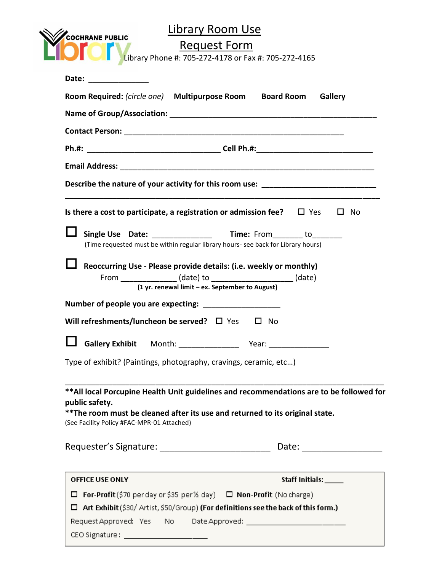| <b>COCHRANE PUBLIC</b>                                                                                                         | Library Room Use<br>Request Form<br>Library Phone #: 705-272-4178 or Fax #: 705-272-4165                                                                                                |                      |                             |
|--------------------------------------------------------------------------------------------------------------------------------|-----------------------------------------------------------------------------------------------------------------------------------------------------------------------------------------|----------------------|-----------------------------|
| Date:<br><u> 1980 - Jan Samuel III, primeira a populație de la productor de la productor de la productor de la productor d</u> |                                                                                                                                                                                         |                      |                             |
|                                                                                                                                | Room Required: (circle one) Multipurpose Room Board Room Gallery                                                                                                                        |                      |                             |
|                                                                                                                                |                                                                                                                                                                                         |                      |                             |
|                                                                                                                                |                                                                                                                                                                                         |                      |                             |
|                                                                                                                                |                                                                                                                                                                                         |                      |                             |
|                                                                                                                                |                                                                                                                                                                                         |                      |                             |
|                                                                                                                                | Describe the nature of your activity for this room use: ________________________                                                                                                        |                      |                             |
|                                                                                                                                | Is there a cost to participate, a registration or admission fee? $\Box$ Yes                                                                                                             |                      | $\square$ No                |
|                                                                                                                                | (Time requested must be within regular library hours- see back for Library hours)                                                                                                       |                      |                             |
|                                                                                                                                | Reoccurring Use - Please provide details: (i.e. weekly or monthly)<br>From ________________ (date) to _______________________ (date)<br>(1 yr. renewal limit - ex. September to August) |                      |                             |
|                                                                                                                                |                                                                                                                                                                                         |                      |                             |
|                                                                                                                                | Will refreshments/luncheon be served? $\square$ Yes                                                                                                                                     | $\square$ No         |                             |
|                                                                                                                                |                                                                                                                                                                                         |                      |                             |
|                                                                                                                                | Type of exhibit? (Paintings, photography, cravings, ceramic, etc)                                                                                                                       |                      |                             |
| public safety.<br>(See Facility Policy #FAC-MPR-01 Attached)                                                                   | ** All local Porcupine Health Unit guidelines and recommendations are to be followed for<br>** The room must be cleaned after its use and returned to its original state.               |                      |                             |
|                                                                                                                                | Requester's Signature: __________________________                                                                                                                                       |                      | Date: _____________________ |
|                                                                                                                                |                                                                                                                                                                                         | Staff Initials: ____ |                             |
| OFFICE USE ONLY                                                                                                                |                                                                                                                                                                                         |                      |                             |
| □<br>□                                                                                                                         | For-Profit (\$70 per day or \$35 per% day) $\Box$ Non-Profit (No charge)<br>Art Exhibit (\$30/ Artist, \$50/Group) (For definitions see the back of this form.)                         |                      |                             |
|                                                                                                                                |                                                                                                                                                                                         |                      |                             |